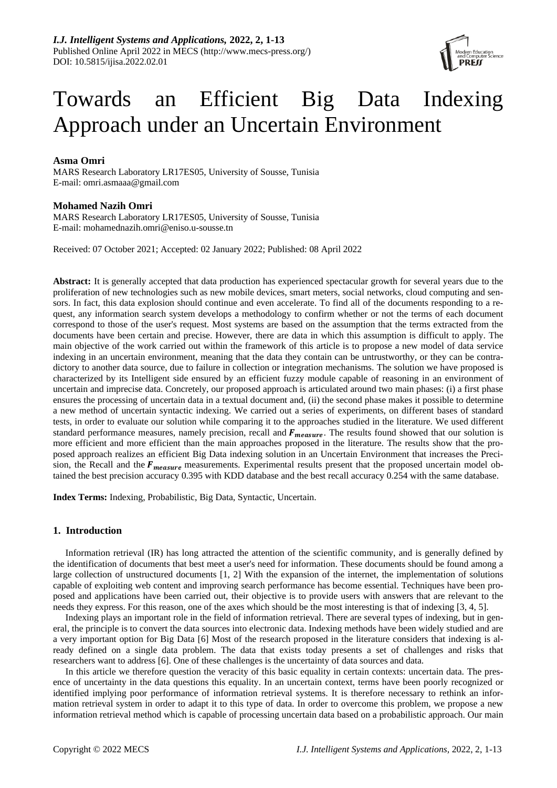

# Towards an Efficient Big Data Indexing Approach under an Uncertain Environment

## **Asma Omri**

MARS Research Laboratory LR17ES05, University of Sousse, Tunisia E-mail: omri.asmaaa@gmail.com

# **Mohamed Nazih Omri**

MARS Research Laboratory LR17ES05, University of Sousse, Tunisia E-mail: [mohamednazih.omri@eniso.u-sousse.tn](mailto:mohamednazih.omri@eniso.u-sousse.tn)

Received: 07 October 2021; Accepted: 02 January 2022; Published: 08 April 2022

**Abstract:** It is generally accepted that data production has experienced spectacular growth for several years due to the proliferation of new technologies such as new mobile devices, smart meters, social networks, cloud computing and sensors. In fact, this data explosion should continue and even accelerate. To find all of the documents responding to a request, any information search system develops a methodology to confirm whether or not the terms of each document correspond to those of the user's request. Most systems are based on the assumption that the terms extracted from the documents have been certain and precise. However, there are data in which this assumption is difficult to apply. The main objective of the work carried out within the framework of this article is to propose a new model of data service indexing in an uncertain environment, meaning that the data they contain can be untrustworthy, or they can be contradictory to another data source, due to failure in collection or integration mechanisms. The solution we have proposed is characterized by its Intelligent side ensured by an efficient fuzzy module capable of reasoning in an environment of uncertain and imprecise data. Concretely, our proposed approach is articulated around two main phases: (i) a first phase ensures the processing of uncertain data in a textual document and, (ii) the second phase makes it possible to determine a new method of uncertain syntactic indexing. We carried out a series of experiments, on different bases of standard tests, in order to evaluate our solution while comparing it to the approaches studied in the literature. We used different standard performance measures, namely precision, recall and  $F_{measure}$ . The results found showed that our solution is more efficient and more efficient than the main approaches proposed in the literature. The results show that the proposed approach realizes an efficient Big Data indexing solution in an Uncertain Environment that increases the Precision, the Recall and the  $F_{measure}$  measurements. Experimental results present that the proposed uncertain model obtained the best precision accuracy 0.395 with KDD database and the best recall accuracy 0.254 with the same database.

**Index Terms:** Indexing, Probabilistic, Big Data, Syntactic, Uncertain.

## **1. Introduction**

Information retrieval (IR) has long attracted the attention of the scientific community, and is generally defined by the identification of documents that best meet a user's need for information. These documents should be found among a large collection of unstructured documents [1, 2] With the expansion of the internet, the implementation of solutions capable of exploiting web content and improving search performance has become essential. Techniques have been proposed and applications have been carried out, their objective is to provide users with answers that are relevant to the needs they express. For this reason, one of the axes which should be the most interesting is that of indexing [3, 4, 5].

Indexing plays an important role in the field of information retrieval. There are several types of indexing, but in general, the principle is to convert the data sources into electronic data. Indexing methods have been widely studied and are a very important option for Big Data [6] Most of the research proposed in the literature considers that indexing is already defined on a single data problem. The data that exists today presents a set of challenges and risks that researchers want to address [6]. One of these challenges is the uncertainty of data sources and data.

In this article we therefore question the veracity of this basic equality in certain contexts: uncertain data. The presence of uncertainty in the data questions this equality. In an uncertain context, terms have been poorly recognized or identified implying poor performance of information retrieval systems. It is therefore necessary to rethink an information retrieval system in order to adapt it to this type of data. In order to overcome this problem, we propose a new information retrieval method which is capable of processing uncertain data based on a probabilistic approach. Our main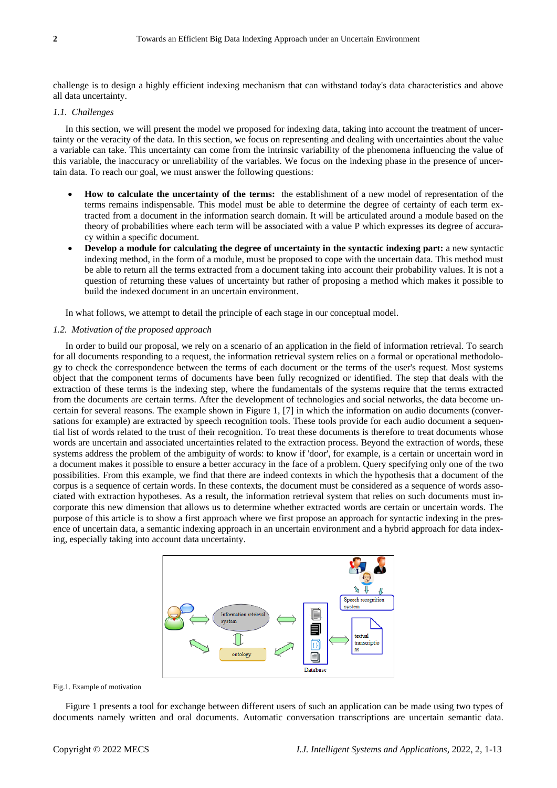challenge is to design a highly efficient indexing mechanism that can withstand today's data characteristics and above all data uncertainty.

## *1.1. Challenges*

In this section, we will present the model we proposed for indexing data, taking into account the treatment of uncertainty or the veracity of the data. In this section, we focus on representing and dealing with uncertainties about the value a variable can take. This uncertainty can come from the intrinsic variability of the phenomena influencing the value of this variable, the inaccuracy or unreliability of the variables. We focus on the indexing phase in the presence of uncertain data. To reach our goal, we must answer the following questions:

- **How to calculate the uncertainty of the terms:** the establishment of a new model of representation of the terms remains indispensable. This model must be able to determine the degree of certainty of each term extracted from a document in the information search domain. It will be articulated around a module based on the theory of probabilities where each term will be associated with a value P which expresses its degree of accuracy within a specific document.
- **Develop a module for calculating the degree of uncertainty in the syntactic indexing part:** a new syntactic indexing method, in the form of a module, must be proposed to cope with the uncertain data. This method must be able to return all the terms extracted from a document taking into account their probability values. It is not a question of returning these values of uncertainty but rather of proposing a method which makes it possible to build the indexed document in an uncertain environment.

In what follows, we attempt to detail the principle of each stage in our conceptual model.

#### *1.2. Motivation of the proposed approach*

In order to build our proposal, we rely on a scenario of an application in the field of information retrieval. To search for all documents responding to a request, the information retrieval system relies on a formal or operational methodology to check the correspondence between the terms of each document or the terms of the user's request. Most systems object that the component terms of documents have been fully recognized or identified. The step that deals with the extraction of these terms is the indexing step, where the fundamentals of the systems require that the terms extracted from the documents are certain terms. After the development of technologies and social networks, the data become uncertain for several reasons. The example shown in Figure 1, [7] in which the information on audio documents (conversations for example) are extracted by speech recognition tools. These tools provide for each audio document a sequential list of words related to the trust of their recognition. To treat these documents is therefore to treat documents whose words are uncertain and associated uncertainties related to the extraction process. Beyond the extraction of words, these systems address the problem of the ambiguity of words: to know if 'door', for example, is a certain or uncertain word in a document makes it possible to ensure a better accuracy in the face of a problem. Query specifying only one of the two possibilities. From this example, we find that there are indeed contexts in which the hypothesis that a document of the corpus is a sequence of certain words. In these contexts, the document must be considered as a sequence of words associated with extraction hypotheses. As a result, the information retrieval system that relies on such documents must incorporate this new dimension that allows us to determine whether extracted words are certain or uncertain words. The purpose of this article is to show a first approach where we first propose an approach for syntactic indexing in the presence of uncertain data, a semantic indexing approach in an uncertain environment and a hybrid approach for data indexing, especially taking into account data uncertainty.



Fig.1. Example of motivation

Figure 1 presents a tool for exchange between different users of such an application can be made using two types of documents namely written and oral documents. Automatic conversation transcriptions are uncertain semantic data.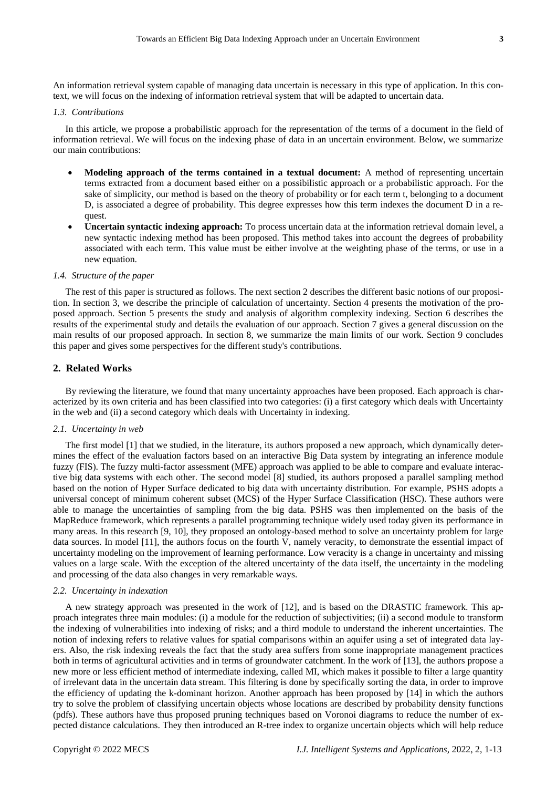An information retrieval system capable of managing data uncertain is necessary in this type of application. In this context, we will focus on the indexing of information retrieval system that will be adapted to uncertain data.

## *1.3. Contributions*

In this article, we propose a probabilistic approach for the representation of the terms of a document in the field of information retrieval. We will focus on the indexing phase of data in an uncertain environment. Below, we summarize our main contributions:

- **Modeling approach of the terms contained in a textual document:** A method of representing uncertain terms extracted from a document based either on a possibilistic approach or a probabilistic approach. For the sake of simplicity, our method is based on the theory of probability or for each term t, belonging to a document D, is associated a degree of probability. This degree expresses how this term indexes the document D in a request.
- **Uncertain syntactic indexing approach:** To process uncertain data at the information retrieval domain level, a new syntactic indexing method has been proposed. This method takes into account the degrees of probability associated with each term. This value must be either involve at the weighting phase of the terms, or use in a new equation.

#### *1.4. Structure of the paper*

The rest of this paper is structured as follows. The next section 2 describes the different basic notions of our proposition. In section 3, we describe the principle of calculation of uncertainty. Section 4 presents the motivation of the proposed approach. Section 5 presents the study and analysis of algorithm complexity indexing. Section 6 describes the results of the experimental study and details the evaluation of our approach. Section 7 gives a general discussion on the main results of our proposed approach. In section 8, we summarize the main limits of our work. Section 9 concludes this paper and gives some perspectives for the different study's contributions.

## **2. Related Works**

By reviewing the literature, we found that many uncertainty approaches have been proposed. Each approach is characterized by its own criteria and has been classified into two categories: (i) a first category which deals with Uncertainty in the web and (ii) a second category which deals with Uncertainty in indexing.

#### *2.1. Uncertainty in web*

The first model [1] that we studied, in the literature, its authors proposed a new approach, which dynamically determines the effect of the evaluation factors based on an interactive Big Data system by integrating an inference module fuzzy (FIS). The fuzzy multi-factor assessment (MFE) approach was applied to be able to compare and evaluate interactive big data systems with each other. The second model [8] studied, its authors proposed a parallel sampling method based on the notion of Hyper Surface dedicated to big data with uncertainty distribution. For example, PSHS adopts a universal concept of minimum coherent subset (MCS) of the Hyper Surface Classification (HSC). These authors were able to manage the uncertainties of sampling from the big data. PSHS was then implemented on the basis of the MapReduce framework, which represents a parallel programming technique widely used today given its performance in many areas. In this research [9, 10], they proposed an ontology-based method to solve an uncertainty problem for large data sources. In model [11], the authors focus on the fourth V, namely veracity, to demonstrate the essential impact of uncertainty modeling on the improvement of learning performance. Low veracity is a change in uncertainty and missing values on a large scale. With the exception of the altered uncertainty of the data itself, the uncertainty in the modeling and processing of the data also changes in very remarkable ways.

### *2.2. Uncertainty in indexation*

A new strategy approach was presented in the work of [12], and is based on the DRASTIC framework. This approach integrates three main modules: (i) a module for the reduction of subjectivities; (ii) a second module to transform the indexing of vulnerabilities into indexing of risks; and a third module to understand the inherent uncertainties. The notion of indexing refers to relative values for spatial comparisons within an aquifer using a set of integrated data layers. Also, the risk indexing reveals the fact that the study area suffers from some inappropriate management practices both in terms of agricultural activities and in terms of groundwater catchment. In the work of [13], the authors propose a new more or less efficient method of intermediate indexing, called MI, which makes it possible to filter a large quantity of irrelevant data in the uncertain data stream. This filtering is done by specifically sorting the data, in order to improve the efficiency of updating the k-dominant horizon. Another approach has been proposed by [14] in which the authors try to solve the problem of classifying uncertain objects whose locations are described by probability density functions (pdfs). These authors have thus proposed pruning techniques based on Voronoi diagrams to reduce the number of expected distance calculations. They then introduced an R-tree index to organize uncertain objects which will help reduce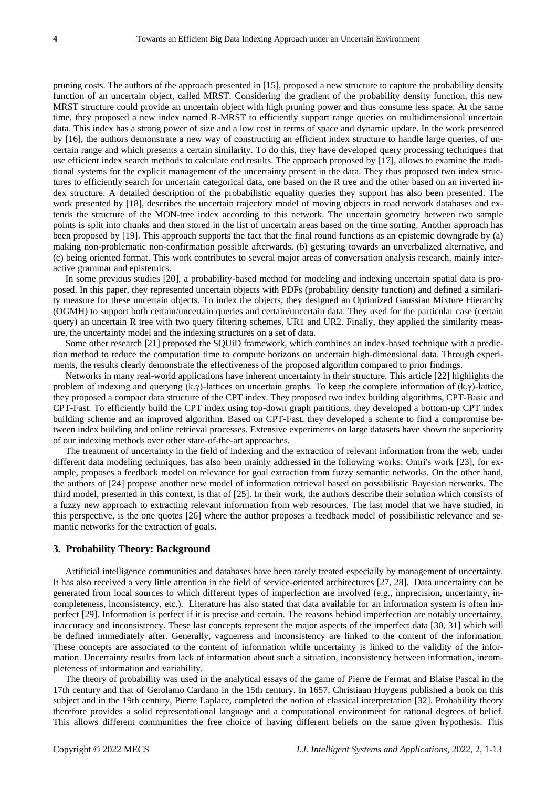pruning costs. The authors of the approach presented in [15], proposed a new structure to capture the probability density function of an uncertain object, called MRST. Considering the gradient of the probability density function, this new MRST structure could provide an uncertain object with high pruning power and thus consume less space. At the same time, they proposed a new index named R-MRST to efficiently support range queries on multidimensional uncertain data. This index has a strong power of size and a low cost in terms of space and dynamic update. In the work presented by [16], the authors demonstrate a new way of constructing an efficient index structure to handle large queries, of uncertain range and which presents a certain similarity. To do this, they have developed query processing techniques that use efficient index search methods to calculate end results. The approach proposed by [17], allows to examine the traditional systems for the explicit management of the uncertainty present in the data. They thus proposed two index structures to efficiently search for uncertain categorical data, one based on the R tree and the other based on an inverted index structure. A detailed description of the probabilistic equality queries they support has also been presented. The work presented by [18], describes the uncertain trajectory model of moving objects in road network databases and extends the structure of the MON-tree index according to this network. The uncertain geometry between two sample points is split into chunks and then stored in the list of uncertain areas based on the time sorting. Another approach has been proposed by [19]. This approach supports the fact that the final round functions as an epistemic downgrade by (a) making non-problematic non-confirmation possible afterwards, (b) gesturing towards an unverbalized alternative, and (c) being oriented format. This work contributes to several major areas of conversation analysis research, mainly interactive grammar and epistemics.

In some previous studies [20], a probability-based method for modeling and indexing uncertain spatial data is proposed. In this paper, they represented uncertain objects with PDFs (probability density function) and defined a similarity measure for these uncertain objects. To index the objects, they designed an Optimized Gaussian Mixture Hierarchy (OGMH) to support both certain/uncertain queries and certain/uncertain data. They used for the particular case (certain query) an uncertain R tree with two query filtering schemes, UR1 and UR2. Finally, they applied the similarity measure, the uncertainty model and the indexing structures on a set of data.

Some other research [21] proposed the SQUiD framework, which combines an index-based technique with a prediction method to reduce the computation time to compute horizons on uncertain high-dimensional data. Through experiments, the results clearly demonstrate the effectiveness of the proposed algorithm compared to prior findings.

Networks in many real-world applications have inherent uncertainty in their structure. This article [22] highlights the problem of indexing and querying (k,γ)-lattices on uncertain graphs. To keep the complete information of (k,γ)-lattice, they proposed a compact data structure of the CPT index. They proposed two index building algorithms, CPT-Basic and CPT-Fast. To efficiently build the CPT index using top-down graph partitions, they developed a bottom-up CPT index building scheme and an improved algorithm. Based on CPT-Fast, they developed a scheme to find a compromise between index building and online retrieval processes. Extensive experiments on large datasets have shown the superiority of our indexing methods over other state-of-the-art approaches.

The treatment of uncertainty in the field of indexing and the extraction of relevant information from the web, under different data modeling techniques, has also been mainly addressed in the following works: Omri's work [23], for example, proposes a feedback model on relevance for goal extraction from fuzzy semantic networks. On the other hand, the authors of [24] propose another new model of information retrieval based on possibilistic Bayesian networks. The third model, presented in this context, is that of [25]. In their work, the authors describe their solution which consists of a fuzzy new approach to extracting relevant information from web resources. The last model that we have studied, in this perspective, is the one quotes [26] where the author proposes a feedback model of possibilistic relevance and semantic networks for the extraction of goals.

## **3. Probability Theory: Background**

Artificial intelligence communities and databases have been rarely treated especially by management of uncertainty. It has also received a very little attention in the field of service-oriented architectures [27, 28]. Data uncertainty can be generated from local sources to which different types of imperfection are involved (e.g., imprecision, uncertainty, incompleteness, inconsistency, etc.). Literature has also stated that data available for an information system is often imperfect [29]. Information is perfect if it is precise and certain. The reasons behind imperfection are notably uncertainty, inaccuracy and inconsistency. These last concepts represent the major aspects of the imperfect data [30, 31] which will be defined immediately after. Generally, vagueness and inconsistency are linked to the content of the information. These concepts are associated to the content of information while uncertainty is linked to the validity of the information. Uncertainty results from lack of information about such a situation, inconsistency between information, incompleteness of information and variability.

The theory of probability was used in the analytical essays of the game of Pierre de Fermat and Blaise Pascal in the 17th century and that of Gerolamo Cardano in the 15th century. In 1657, Christiaan Huygens published a book on this subject and in the 19th century, Pierre Laplace, completed the notion of classical interpretation [32]. Probability theory therefore provides a solid representational language and a computational environment for rational degrees of belief. This allows different communities the free choice of having different beliefs on the same given hypothesis. This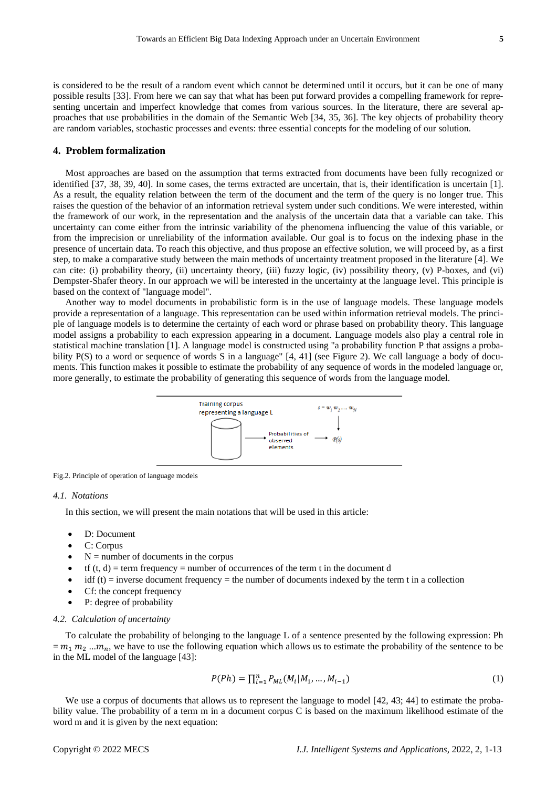is considered to be the result of a random event which cannot be determined until it occurs, but it can be one of many possible results [33]. From here we can say that what has been put forward provides a compelling framework for representing uncertain and imperfect knowledge that comes from various sources. In the literature, there are several approaches that use probabilities in the domain of the Semantic Web [34, 35, 36]. The key objects of probability theory are random variables, stochastic processes and events: three essential concepts for the modeling of our solution.

## **4. Problem formalization**

Most approaches are based on the assumption that terms extracted from documents have been fully recognized or identified [37, 38, 39, 40]. In some cases, the terms extracted are uncertain, that is, their identification is uncertain [1]. As a result, the equality relation between the term of the document and the term of the query is no longer true. This raises the question of the behavior of an information retrieval system under such conditions. We were interested, within the framework of our work, in the representation and the analysis of the uncertain data that a variable can take. This uncertainty can come either from the intrinsic variability of the phenomena influencing the value of this variable, or from the imprecision or unreliability of the information available. Our goal is to focus on the indexing phase in the presence of uncertain data. To reach this objective, and thus propose an effective solution, we will proceed by, as a first step, to make a comparative study between the main methods of uncertainty treatment proposed in the literature [4]. We can cite: (i) probability theory, (ii) uncertainty theory, (iii) fuzzy logic, (iv) possibility theory, (v) P-boxes, and (vi) Dempster-Shafer theory. In our approach we will be interested in the uncertainty at the language level. This principle is based on the context of "language model".

Another way to model documents in probabilistic form is in the use of language models. These language models provide a representation of a language. This representation can be used within information retrieval models. The principle of language models is to determine the certainty of each word or phrase based on probability theory. This language model assigns a probability to each expression appearing in a document. Language models also play a central role in statistical machine translation [1]. A language model is constructed using "a probability function P that assigns a probability P(S) to a word or sequence of words S in a language" [4, 41] (see Figure 2). We call language a body of documents. This function makes it possible to estimate the probability of any sequence of words in the modeled language or, more generally, to estimate the probability of generating this sequence of words from the language model.



Fig.2. Principle of operation of language models

## *4.1. Notations*

In this section, we will present the main notations that will be used in this article:

- D: Document
- C: Corpus
- $N =$  number of documents in the corpus
- tf  $(t, d)$  = term frequency = number of occurrences of the term t in the document d
- $i$ df (t) = inverse document frequency = the number of documents indexed by the term t in a collection
- Cf: the concept frequency
- P: degree of probability

## *4.2. Calculation of uncertainty*

To calculate the probability of belonging to the language L of a sentence presented by the following expression: Ph  $= m_1 m_2 ... m_n$ , we have to use the following equation which allows us to estimate the probability of the sentence to be in the ML model of the language [43]:

$$
P(Ph) = \prod_{i=1}^{n} P_{ML}(M_i | M_1, \dots, M_{i-1})
$$
\n(1)

We use a corpus of documents that allows us to represent the language to model [42, 43; 44] to estimate the probability value. The probability of a term m in a document corpus C is based on the maximum likelihood estimate of the word m and it is given by the next equation: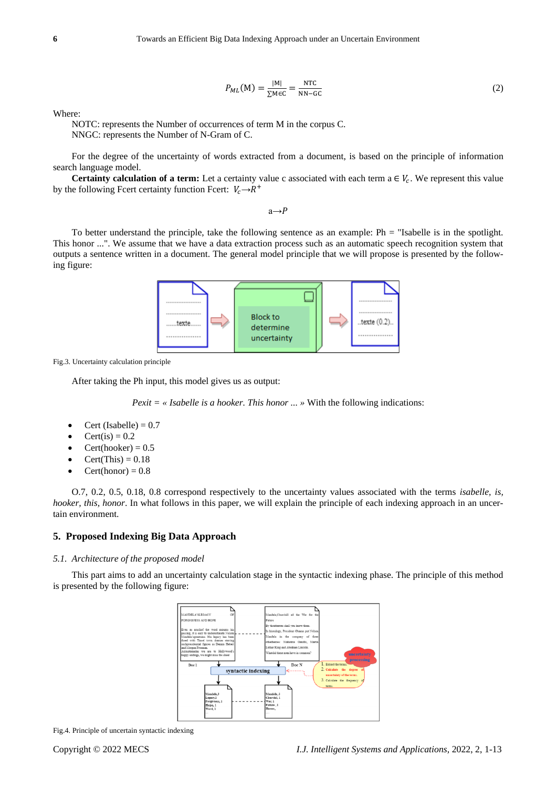$$
P_{ML}(M) = \frac{|M|}{\sum_{M \in C} = \frac{NTC}{NN - GC}} \tag{2}
$$

Where:

NOTC: represents the Number of occurrences of term M in the corpus C. NNGC: represents the Number of N-Gram of C.

For the degree of the uncertainty of words extracted from a document, is based on the principle of information search language model.

**Certainty calculation of a term:** Let a certainty value c associated with each term  $a \in V_c$ . We represent this value by the following Fcert certainty function Fcert:  $V_c \rightarrow R^+$ 

 $a \rightarrow P$ 

To better understand the principle, take the following sentence as an example: Ph = "Isabelle is in the spotlight. This honor ...". We assume that we have a data extraction process such as an automatic speech recognition system that outputs a sentence written in a document. The general model principle that we will propose is presented by the following figure:



Fig.3. Uncertainty calculation principle

After taking the Ph input, this model gives us as output:

*Perit* = 
$$
\alpha
$$
 *Isabelle is a hooker. This honor* ...  $\lambda$  With the following indications:

- Cert (Isabelle)  $= 0.7$
- $Cert(is) = 0.2$
- $Cert(hooker) = 0.5$
- $Cert(This) = 0.18$
- Cert(honor) =  $0.8$

O.7, 0.2, 0.5, 0.18, 0.8 correspond respectively to the uncertainty values associated with the terms *isabelle, is, hooker, this, honor*. In what follows in this paper, we will explain the principle of each indexing approach in an uncertain environment.

## **5. Proposed Indexing Big Data Approach**

### *5.1. Architecture of the proposed model*

This part aims to add an uncertainty calculation stage in the syntactic indexing phase. The principle of this method is presented by the following figure:



Fig.4. Principle of uncertain syntactic indexing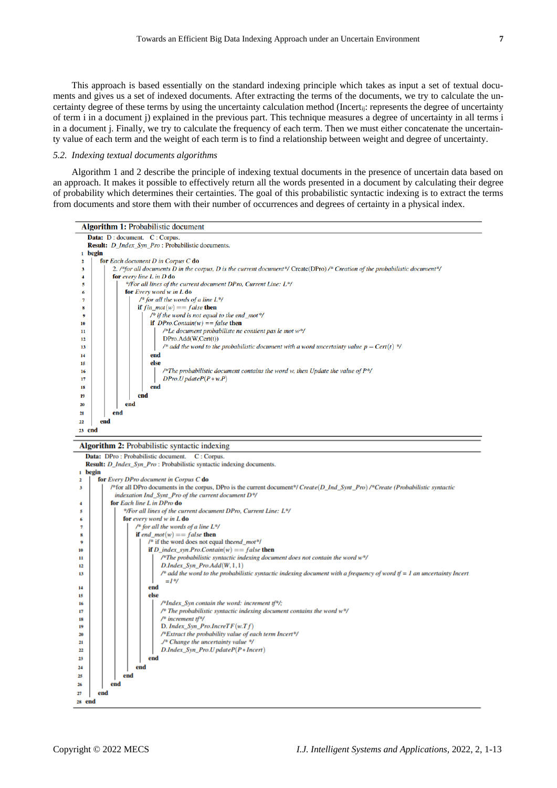This approach is based essentially on the standard indexing principle which takes as input a set of textual documents and gives us a set of indexed documents. After extracting the terms of the documents, we try to calculate the uncertainty degree of these terms by using the uncertainty calculation method (Incertij: represents the degree of uncertainty of term i in a document j) explained in the previous part. This technique measures a degree of uncertainty in all terms i in a document j. Finally, we try to calculate the frequency of each term. Then we must either concatenate the uncertainty value of each term and the weight of each term is to find a relationship between weight and degree of uncertainty.

#### *5.2. Indexing textual documents algorithms*

Algorithm 1 and 2 describe the principle of indexing textual documents in the presence of uncertain data based on an approach. It makes it possible to effectively return all the words presented in a document by calculating their degree of probability which determines their certainties. The goal of this probabilistic syntactic indexing is to extract the terms from documents and store them with their number of occurrences and degrees of certainty in a physical index.



#### Algorithm 2: Probabilistic syntactic indexing

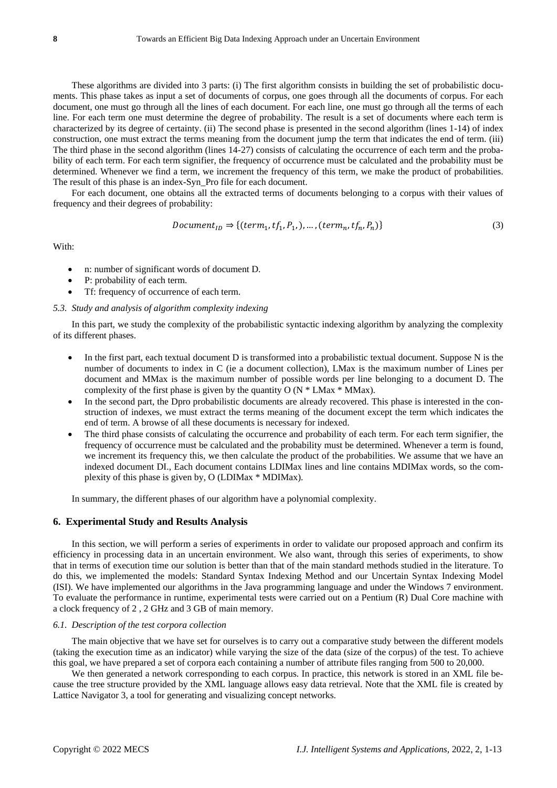These algorithms are divided into 3 parts: (i) The first algorithm consists in building the set of probabilistic documents. This phase takes as input a set of documents of corpus, one goes through all the documents of corpus. For each document, one must go through all the lines of each document. For each line, one must go through all the terms of each line. For each term one must determine the degree of probability. The result is a set of documents where each term is characterized by its degree of certainty. (ii) The second phase is presented in the second algorithm (lines 1-14) of index construction, one must extract the terms meaning from the document jump the term that indicates the end of term. (iii) The third phase in the second algorithm (lines 14-27) consists of calculating the occurrence of each term and the probability of each term. For each term signifier, the frequency of occurrence must be calculated and the probability must be determined. Whenever we find a term, we increment the frequency of this term, we make the product of probabilities. The result of this phase is an index-Syn\_Pro file for each document.

For each document, one obtains all the extracted terms of documents belonging to a corpus with their values of frequency and their degrees of probability:

$$
Document_{ID} \Rightarrow \{(term_1, tf_1, P_1, \ldots, (term_n, tf_n, P_n)\}\tag{3}
$$

With:

- n: number of significant words of document D.
- P: probability of each term.
- Tf: frequency of occurrence of each term.

#### *5.3. Study and analysis of algorithm complexity indexing*

In this part, we study the complexity of the probabilistic syntactic indexing algorithm by analyzing the complexity of its different phases.

- In the first part, each textual document D is transformed into a probabilistic textual document. Suppose N is the number of documents to index in C (ie a document collection), LMax is the maximum number of Lines per document and MMax is the maximum number of possible words per line belonging to a document D. The complexity of the first phase is given by the quantity  $O (N * LMax * MMax)$ .
- In the second part, the Dpro probabilistic documents are already recovered. This phase is interested in the construction of indexes, we must extract the terms meaning of the document except the term which indicates the end of term. A browse of all these documents is necessary for indexed.
- The third phase consists of calculating the occurrence and probability of each term. For each term signifier, the frequency of occurrence must be calculated and the probability must be determined. Whenever a term is found, we increment its frequency this, we then calculate the product of the probabilities. We assume that we have an indexed document DI., Each document contains LDIMax lines and line contains MDIMax words, so the complexity of this phase is given by, O (LDIMax \* MDIMax).

In summary, the different phases of our algorithm have a polynomial complexity.

## **6. Experimental Study and Results Analysis**

In this section, we will perform a series of experiments in order to validate our proposed approach and confirm its efficiency in processing data in an uncertain environment. We also want, through this series of experiments, to show that in terms of execution time our solution is better than that of the main standard methods studied in the literature. To do this, we implemented the models: Standard Syntax Indexing Method and our Uncertain Syntax Indexing Model (ISI). We have implemented our algorithms in the Java programming language and under the Windows 7 environment. To evaluate the performance in runtime, experimental tests were carried out on a Pentium (R) Dual Core machine with a clock frequency of 2 , 2 GHz and 3 GB of main memory.

## *6.1. Description of the test corpora collection*

The main objective that we have set for ourselves is to carry out a comparative study between the different models (taking the execution time as an indicator) while varying the size of the data (size of the corpus) of the test. To achieve this goal, we have prepared a set of corpora each containing a number of attribute files ranging from 500 to 20,000.

We then generated a network corresponding to each corpus. In practice, this network is stored in an XML file because the tree structure provided by the XML language allows easy data retrieval. Note that the XML file is created by Lattice Navigator 3, a tool for generating and visualizing concept networks.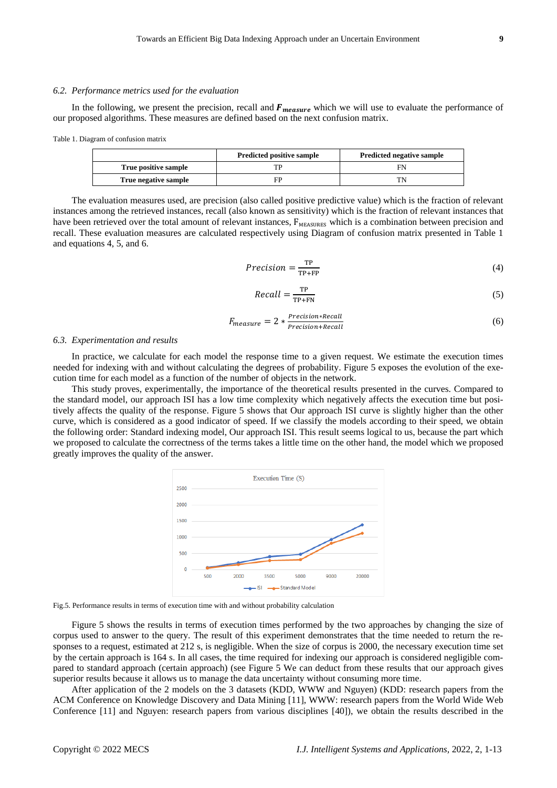## *6.2. Performance metrics used for the evaluation*

In the following, we present the precision, recall and  $F_{measure}$  which we will use to evaluate the performance of our proposed algorithms. These measures are defined based on the next confusion matrix.

Table 1. Diagram of confusion matrix

|                      | <b>Predicted positive sample</b><br><b>Predicted negative sample</b> |    |
|----------------------|----------------------------------------------------------------------|----|
| True positive sample |                                                                      | F١ |
| True negative sample | FP                                                                   |    |

The evaluation measures used, are precision (also called positive predictive value) which is the fraction of relevant instances among the retrieved instances, recall (also known as sensitivity) which is the fraction of relevant instances that have been retrieved over the total amount of relevant instances,  $F_{MRASIRFS}$  which is a combination between precision and recall. These evaluation measures are calculated respectively using Diagram of confusion matrix presented in Table 1 and equations 4, 5, and 6.

$$
Precision = \frac{TP}{TP + FP}
$$
 (4)

$$
Recall = \frac{TP}{TP + FN} \tag{5}
$$

$$
F_{measure} = 2 * \frac{Precision * Recall}{Precision + Recall}
$$
\n(6)

#### *6.3. Experimentation and results*

In practice, we calculate for each model the response time to a given request. We estimate the execution times needed for indexing with and without calculating the degrees of probability. Figure 5 exposes the evolution of the execution time for each model as a function of the number of objects in the network.

This study proves, experimentally, the importance of the theoretical results presented in the curves. Compared to the standard model, our approach ISI has a low time complexity which negatively affects the execution time but positively affects the quality of the response. Figure 5 shows that Our approach ISI curve is slightly higher than the other curve, which is considered as a good indicator of speed. If we classify the models according to their speed, we obtain the following order: Standard indexing model, Our approach ISI. This result seems logical to us, because the part which we proposed to calculate the correctness of the terms takes a little time on the other hand, the model which we proposed greatly improves the quality of the answer.



Fig.5. Performance results in terms of execution time with and without probability calculation

Figure 5 shows the results in terms of execution times performed by the two approaches by changing the size of corpus used to answer to the query. The result of this experiment demonstrates that the time needed to return the responses to a request, estimated at 212 s, is negligible. When the size of corpus is 2000, the necessary execution time set by the certain approach is 164 s. In all cases, the time required for indexing our approach is considered negligible compared to standard approach (certain approach) (see Figure 5 We can deduct from these results that our approach gives superior results because it allows us to manage the data uncertainty without consuming more time.

After application of the 2 models on the 3 datasets (KDD, WWW and Nguyen) (KDD: research papers from the ACM Conference on Knowledge Discovery and Data Mining [11], WWW: research papers from the World Wide Web Conference [11] and Nguyen: research papers from various disciplines [40]), we obtain the results described in the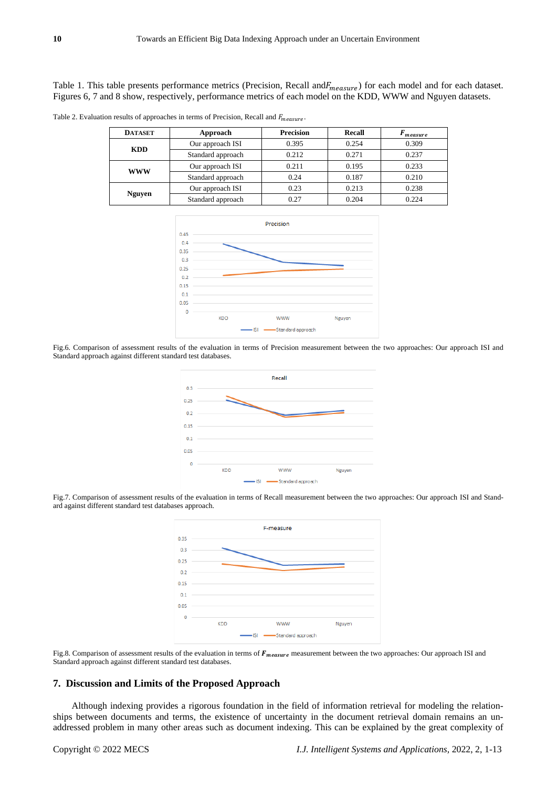Table 1. This table presents performance metrics (Precision, Recall and $F_{measure}$ ) for each model and for each dataset. Figures 6, 7 and 8 show, respectively, performance metrics of each model on the KDD, WWW and Nguyen datasets.

Table 2. Evaluation results of approaches in terms of Precision, Recall and  $F_{measure}$ .

| <b>DATASET</b> | Approach          | <b>Precision</b> | Recall | measure |
|----------------|-------------------|------------------|--------|---------|
| <b>KDD</b>     | Our approach ISI  | 0.395            | 0.254  | 0.309   |
|                | Standard approach | 0.212            | 0.271  | 0.237   |
| <b>WWW</b>     | Our approach ISI  | 0.211            | 0.195  | 0.233   |
|                | Standard approach | 0.24             | 0.187  | 0.210   |
| <b>Nguyen</b>  | Our approach ISI  | 0.23             | 0.213  | 0.238   |
|                | Standard approach | 0.27             | 0.204  | 0.224   |



Fig.6. Comparison of assessment results of the evaluation in terms of Precision measurement between the two approaches: Our approach ISI and Standard approach against different standard test databases.



Fig.7. Comparison of assessment results of the evaluation in terms of Recall measurement between the two approaches: Our approach ISI and Standard against different standard test databases approach.



Fig.8. Comparison of assessment results of the evaluation in terms of  $F_{measure}$  measurement between the two approaches: Our approach ISI and Standard approach against different standard test databases.

## **7. Discussion and Limits of the Proposed Approach**

Although indexing provides a rigorous foundation in the field of information retrieval for modeling the relationships between documents and terms, the existence of uncertainty in the document retrieval domain remains an unaddressed problem in many other areas such as document indexing. This can be explained by the great complexity of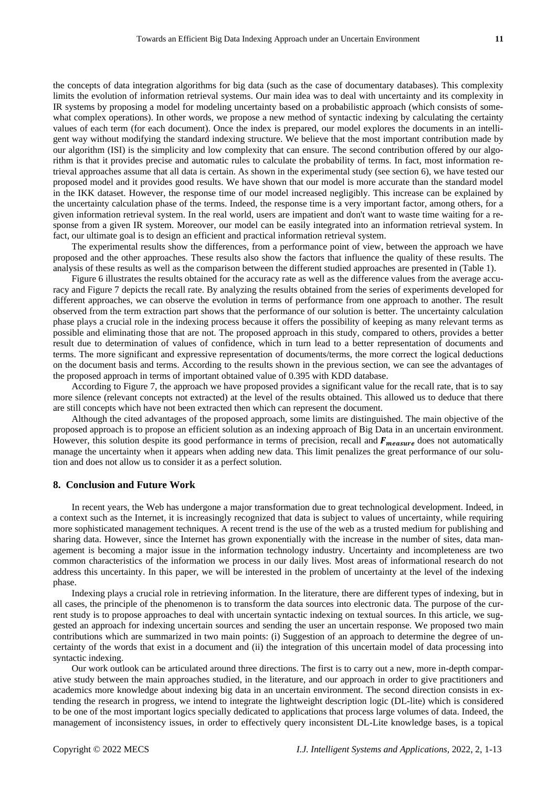the concepts of data integration algorithms for big data (such as the case of documentary databases). This complexity limits the evolution of information retrieval systems. Our main idea was to deal with uncertainty and its complexity in IR systems by proposing a model for modeling uncertainty based on a probabilistic approach (which consists of somewhat complex operations). In other words, we propose a new method of syntactic indexing by calculating the certainty values of each term (for each document). Once the index is prepared, our model explores the documents in an intelligent way without modifying the standard indexing structure. We believe that the most important contribution made by our algorithm (ISI) is the simplicity and low complexity that can ensure. The second contribution offered by our algorithm is that it provides precise and automatic rules to calculate the probability of terms. In fact, most information retrieval approaches assume that all data is certain. As shown in the experimental study (see section 6), we have tested our proposed model and it provides good results. We have shown that our model is more accurate than the standard model in the IKK dataset. However, the response time of our model increased negligibly. This increase can be explained by the uncertainty calculation phase of the terms. Indeed, the response time is a very important factor, among others, for a given information retrieval system. In the real world, users are impatient and don't want to waste time waiting for a response from a given IR system. Moreover, our model can be easily integrated into an information retrieval system. In fact, our ultimate goal is to design an efficient and practical information retrieval system.

The experimental results show the differences, from a performance point of view, between the approach we have proposed and the other approaches. These results also show the factors that influence the quality of these results. The analysis of these results as well as the comparison between the different studied approaches are presented in (Table 1).

Figure 6 illustrates the results obtained for the accuracy rate as well as the difference values from the average accuracy and Figure 7 depicts the recall rate. By analyzing the results obtained from the series of experiments developed for different approaches, we can observe the evolution in terms of performance from one approach to another. The result observed from the term extraction part shows that the performance of our solution is better. The uncertainty calculation phase plays a crucial role in the indexing process because it offers the possibility of keeping as many relevant terms as possible and eliminating those that are not. The proposed approach in this study, compared to others, provides a better result due to determination of values of confidence, which in turn lead to a better representation of documents and terms. The more significant and expressive representation of documents/terms, the more correct the logical deductions on the document basis and terms. According to the results shown in the previous section, we can see the advantages of the proposed approach in terms of important obtained value of 0.395 with KDD database.

According to Figure 7, the approach we have proposed provides a significant value for the recall rate, that is to say more silence (relevant concepts not extracted) at the level of the results obtained. This allowed us to deduce that there are still concepts which have not been extracted then which can represent the document.

Although the cited advantages of the proposed approach, some limits are distinguished. The main objective of the proposed approach is to propose an efficient solution as an indexing approach of Big Data in an uncertain environment. However, this solution despite its good performance in terms of precision, recall and  $F_{measure}$  does not automatically manage the uncertainty when it appears when adding new data. This limit penalizes the great performance of our solution and does not allow us to consider it as a perfect solution.

## **8. Conclusion and Future Work**

In recent years, the Web has undergone a major transformation due to great technological development. Indeed, in a context such as the Internet, it is increasingly recognized that data is subject to values of uncertainty, while requiring more sophisticated management techniques. A recent trend is the use of the web as a trusted medium for publishing and sharing data. However, since the Internet has grown exponentially with the increase in the number of sites, data management is becoming a major issue in the information technology industry. Uncertainty and incompleteness are two common characteristics of the information we process in our daily lives. Most areas of informational research do not address this uncertainty. In this paper, we will be interested in the problem of uncertainty at the level of the indexing phase.

Indexing plays a crucial role in retrieving information. In the literature, there are different types of indexing, but in all cases, the principle of the phenomenon is to transform the data sources into electronic data. The purpose of the current study is to propose approaches to deal with uncertain syntactic indexing on textual sources. In this article, we suggested an approach for indexing uncertain sources and sending the user an uncertain response. We proposed two main contributions which are summarized in two main points: (i) Suggestion of an approach to determine the degree of uncertainty of the words that exist in a document and (ii) the integration of this uncertain model of data processing into syntactic indexing.

Our work outlook can be articulated around three directions. The first is to carry out a new, more in-depth comparative study between the main approaches studied, in the literature, and our approach in order to give practitioners and academics more knowledge about indexing big data in an uncertain environment. The second direction consists in extending the research in progress, we intend to integrate the lightweight description logic (DL-lite) which is considered to be one of the most important logics specially dedicated to applications that process large volumes of data. Indeed, the management of inconsistency issues, in order to effectively query inconsistent DL-Lite knowledge bases, is a topical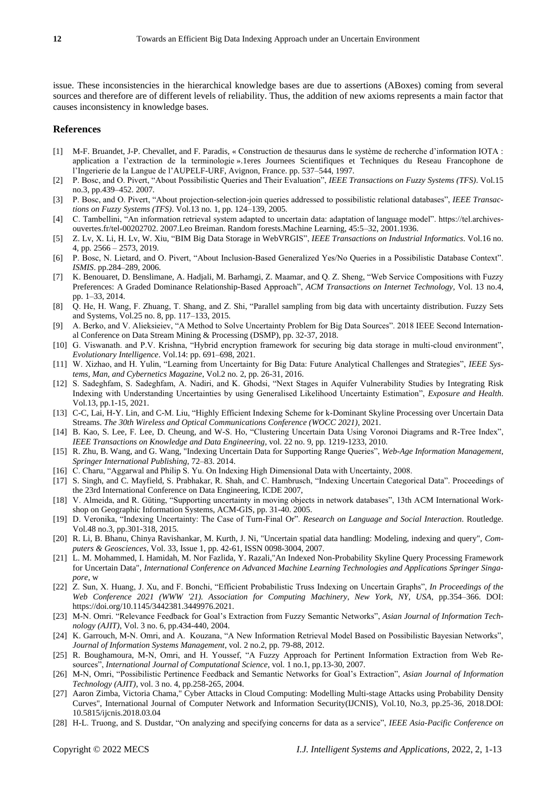issue. These inconsistencies in the hierarchical knowledge bases are due to assertions (ABoxes) coming from several sources and therefore are of different levels of reliability. Thus, the addition of new axioms represents a main factor that causes inconsistency in knowledge bases.

#### **References**

- [1] M-F. Bruandet, J-P. Chevallet, and F. Paradis, «Construction de thesaurus dans le système de recherche d'information IOTA : application a l'extraction de la terminologie ».1eres Journees Scientifiques et Techniques du Reseau Francophone de l'Ingerierie de la Langue de l'AUPELF-URF, Avignon, France. pp. 537–544, 1997.
- [2] P. Bosc, and O. Pivert, "About Possibilistic Queries and Their Evaluation", *IEEE Transactions on Fuzzy Systems (TFS)*. Vol.15 no.3, pp.439–452. 2007.
- [3] P. Bosc, and O. Pivert, "About projection-selection-join queries addressed to possibilistic relational databases", *IEEE Transactions on Fuzzy Systems (TFS)*. Vol.13 no. 1, pp. 124–139, 2005.
- [4] C. Tambellini, "An information retrieval system adapted to uncertain data: adaptation of language model". https://tel.archivesouvertes.fr/tel-00202702. 2007.Leo Breiman. Random forests.Machine Learning, 45:5–32, 2001.1936.
- [5] Z. Lv, X. Li, H. Lv, W. Xiu, "BIM Big Data Storage in WebVRGIS", *IEEE Transactions on Industrial Informatics*. Vol.16 no. 4, pp. 2566 – 2573, 2019.
- [6] P. Bosc, N. Lietard, and O. Pivert, "About Inclusion-Based Generalized Yes/No Queries in a Possibilistic Database Context". *ISMIS*. pp.284–289, 2006.
- [7] K. Benouaret, D. Benslimane, A. Hadjali, M. Barhamgi, Z. Maamar, and Q. Z. Sheng, "Web Service Compositions with Fuzzy Preferences: A Graded Dominance Relationship-Based Approach", *ACM Transactions on Internet Technology,* Vol. 13 no.4, pp. 1–33, 2014.
- [8] Q. He, H. Wang, F. Zhuang, T. Shang, and Z. Shi, "Parallel sampling from big data with uncertainty distribution. Fuzzy Sets and Systems, Vol.25 no. 8, pp. 117–133, 2015.
- [9] A. Berko, and V. Alieksieiev, "A Method to Solve Uncertainty Problem for Big Data Sources". 2018 IEEE Second International Conference on Data Stream Mining & Processing (DSMP), pp. 32-37, 2018.
- [10] G. Viswanath. and P.V. Krishna, "Hybrid encryption framework for securing big data storage in multi-cloud environment", *Evolutionary Intelligence*. Vol.14: pp. 691–698, 2021.
- [11] W. Xizhao, and H. Yulin, "Learning from Uncertainty for Big Data: Future Analytical Challenges and Strategies", *IEEE Systems, Man, and Cybernetics Magazine*, Vol.2 no. 2, pp. 26-31, 2016.
- [12] S. Sadeghfam, S. Sadeghfam, A. Nadiri, and K. Ghodsi, "Next Stages in Aquifer Vulnerability Studies by Integrating Risk Indexing with Understanding Uncertainties by using Generalised Likelihood Uncertainty Estimation", *Exposure and Health*. Vol.13, pp.1-15, 2021.
- [13] C-C, Lai, H-Y. Lin, and C-M. Liu, "Highly Efficient Indexing Scheme for k-Dominant Skyline Processing over Uncertain Data Streams. *The 30th Wireless and Optical Communications Conference (WOCC 2021)*, 2021.
- [14] B. Kao, S. Lee, F. Lee, D. Cheung, and W-S. Ho, "Clustering Uncertain Data Using Voronoi Diagrams and R-Tree Index", *IEEE Transactions on Knowledge and Data Engineering*, vol. 22 no. 9, pp. 1219-1233, 2010.
- [15] R. Zhu, B. Wang, and G. Wang, "Indexing Uncertain Data for Supporting Range Queries", *Web-Age Information Management, Springer International Publishing*, 72–83. 2014.
- [16] C. Charu, "Aggarwal and Philip S. Yu. On Indexing High Dimensional Data with Uncertainty, 2008.
- [17] S. Singh, and C. Mayfield, S. Prabhakar, R. Shah, and C. Hambrusch, "Indexing Uncertain Categorical Data". Proceedings of the 23rd International Conference on Data Engineering, ICDE 2007,
- [18] V. Almeida, and R. Güting, "Supporting uncertainty in moving objects in network databases", 13th ACM International Workshop on Geographic Information Systems, ACM-GIS, pp. 31-40. 2005.
- [19] D. Veronika, "Indexing Uncertainty: The Case of Turn-Final Or". *Research on Language and Social Interaction*. Routledge. Vol.48 no.3, pp.301-318, 2015.
- [20] R. Li, B. Bhanu, Chinya Ravishankar, M. Kurth, J. Ni, "Uncertain spatial data handling: Modeling, indexing and query", *Computers & Geosciences*, Vol. 33, Issue 1, pp. 42-61, ISSN 0098-3004, 2007.
- [21] L. M. Mohammed, I. Hamidah, M. Nor Fazlida, Y. Razali,"An Indexed Non-Probability Skyline Query Processing Framework for Uncertain Data", *International Conference on Advanced Machine Learning Technologies and Applications Springer Singapore*, w
- [22] Z. Sun, X. Huang, J. Xu, and F. Bonchi, "Efficient Probabilistic Truss Indexing on Uncertain Graphs", *In Proceedings of the Web Conference 2021 (WWW '21). Association for Computing Machinery, New York, NY, USA*, pp.354–366. DOI: https://doi.org/10.1145/3442381.3449976.2021.
- [23] M-N. Omri. "Relevance Feedback for Goal's Extraction from Fuzzy Semantic Networks", *Asian Journal of Information Technology (AJIT)*, Vol. 3 no. 6, pp.434-440, 2004.
- [24] K. Garrouch, M-N. Omri, and A. Kouzana, "A New Information Retrieval Model Based on Possibilistic Bayesian Networks", *Journal of Information Systems Management*, vol. 2 no.2, pp. 79-88, 2012.
- [25] R. Boughamoura, M-N, Omri, and H. Youssef, "A Fuzzy Approach for Pertinent Information Extraction from Web Resources", *International Journal of Computational Science*, vol. 1 no.1, pp.13-30, 2007.
- [26] M-N, Omri, "Possibilistic Pertinence Feedback and Semantic Networks for Goal's Extraction", *Asian Journal of Information Technology (AJIT)*, vol. 3 no. 4, pp.258-265, 2004.
- [27] Aaron Zimba, Victoria Chama," Cyber Attacks in Cloud Computing: Modelling Multi-stage Attacks using Probability Density Curves", International Journal of Computer Network and Information Security(IJCNIS), Vol.10, No.3, pp.25-36, 2018.DOI: 10.5815/ijcnis.2018.03.04
- [28] H-L. Truong, and S. Dustdar, "On analyzing and specifying concerns for data as a service", *IEEE Asia-Pacific Conference on*